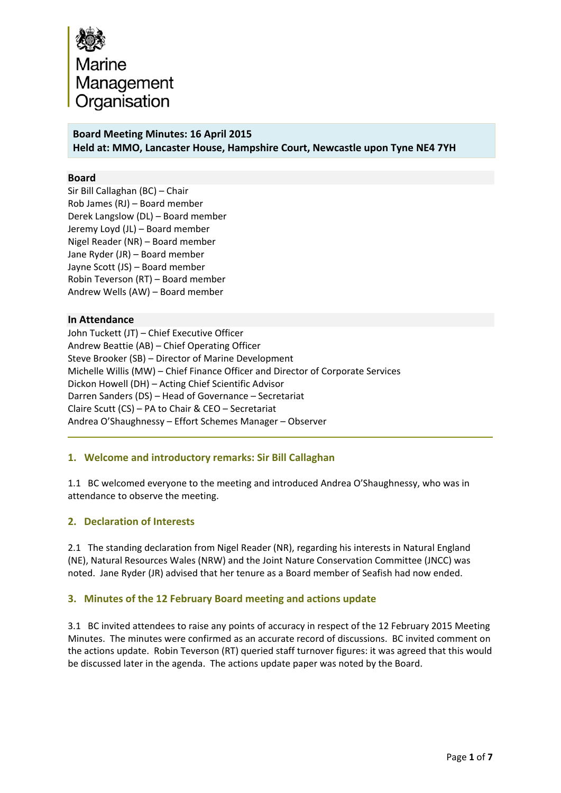

# **Board Meeting Minutes: 16 April 2015 Held at: MMO, Lancaster House, Hampshire Court, Newcastle upon Tyne NE4 7YH**

## **Board**

Sir Bill Callaghan (BC) – Chair Rob James (RJ) – Board member Derek Langslow (DL) – Board member Jeremy Loyd (JL) – Board member Nigel Reader (NR) – Board member Jane Ryder (JR) – Board member Jayne Scott (JS) – Board member Robin Teverson (RT) – Board member Andrew Wells (AW) – Board member

### **In Attendance**

John Tuckett (JT) – Chief Executive Officer Andrew Beattie (AB) – Chief Operating Officer Steve Brooker (SB) – Director of Marine Development Michelle Willis (MW) – Chief Finance Officer and Director of Corporate Services Dickon Howell (DH) – Acting Chief Scientific Advisor Darren Sanders (DS) – Head of Governance – Secretariat Claire Scutt (CS) – PA to Chair & CEO – Secretariat Andrea O'Shaughnessy – Effort Schemes Manager – Observer

# **1. Welcome and introductory remarks: Sir Bill Callaghan**

1.1 BC welcomed everyone to the meeting and introduced Andrea O'Shaughnessy, who was in attendance to observe the meeting.

### **2. Declaration of Interests**

2.1 The standing declaration from Nigel Reader (NR), regarding his interests in Natural England (NE), Natural Resources Wales (NRW) and the Joint Nature Conservation Committee (JNCC) was noted. Jane Ryder (JR) advised that her tenure as a Board member of Seafish had now ended.

### **3. Minutes of the 12 February Board meeting and actions update**

3.1 BC invited attendees to raise any points of accuracy in respect of the 12 February 2015 Meeting Minutes. The minutes were confirmed as an accurate record of discussions. BC invited comment on the actions update. Robin Teverson (RT) queried staff turnover figures: it was agreed that this would be discussed later in the agenda. The actions update paper was noted by the Board.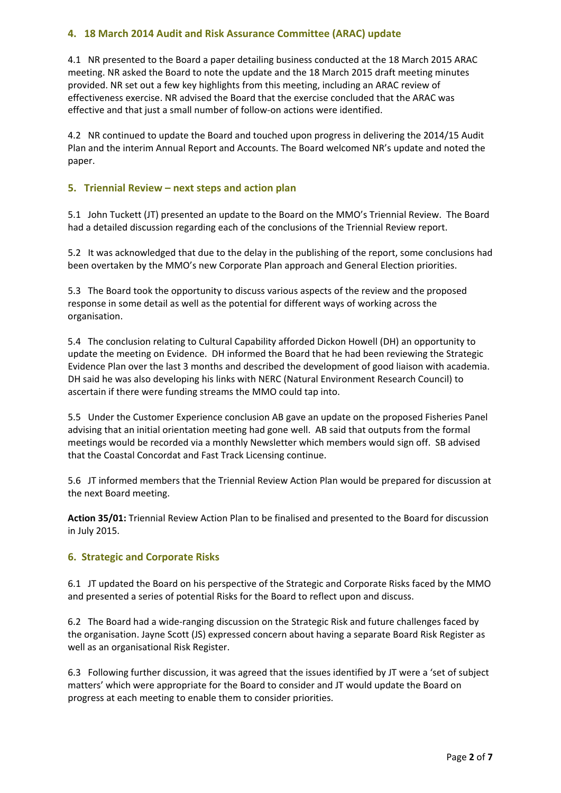# **4. 18 March 2014 Audit and Risk Assurance Committee (ARAC) update**

4.1 NR presented to the Board a paper detailing business conducted at the 18 March 2015 ARAC meeting. NR asked the Board to note the update and the 18 March 2015 draft meeting minutes provided. NR set out a few key highlights from this meeting, including an ARAC review of effectiveness exercise. NR advised the Board that the exercise concluded that the ARAC was effective and that just a small number of follow‐on actions were identified.

4.2 NR continued to update the Board and touched upon progress in delivering the 2014/15 Audit Plan and the interim Annual Report and Accounts. The Board welcomed NR's update and noted the paper.

# **5. Triennial Review – next steps and action plan**

5.1 John Tuckett (JT) presented an update to the Board on the MMO's Triennial Review. The Board had a detailed discussion regarding each of the conclusions of the Triennial Review report.

5.2 It was acknowledged that due to the delay in the publishing of the report, some conclusions had been overtaken by the MMO's new Corporate Plan approach and General Election priorities.

5.3 The Board took the opportunity to discuss various aspects of the review and the proposed response in some detail as well as the potential for different ways of working across the organisation.

5.4 The conclusion relating to Cultural Capability afforded Dickon Howell (DH) an opportunity to update the meeting on Evidence. DH informed the Board that he had been reviewing the Strategic Evidence Plan over the last 3 months and described the development of good liaison with academia. DH said he was also developing his links with NERC (Natural Environment Research Council) to ascertain if there were funding streams the MMO could tap into.

5.5 Under the Customer Experience conclusion AB gave an update on the proposed Fisheries Panel advising that an initial orientation meeting had gone well. AB said that outputs from the formal meetings would be recorded via a monthly Newsletter which members would sign off. SB advised that the Coastal Concordat and Fast Track Licensing continue.

5.6 JT informed members that the Triennial Review Action Plan would be prepared for discussion at the next Board meeting.

**Action 35/01:** Triennial Review Action Plan to be finalised and presented to the Board for discussion in July 2015.

# **6. Strategic and Corporate Risks**

6.1 JT updated the Board on his perspective of the Strategic and Corporate Risks faced by the MMO and presented a series of potential Risks for the Board to reflect upon and discuss.

6.2 The Board had a wide‐ranging discussion on the Strategic Risk and future challenges faced by the organisation. Jayne Scott (JS) expressed concern about having a separate Board Risk Register as well as an organisational Risk Register.

6.3 Following further discussion, it was agreed that the issues identified by JT were a 'set of subject matters' which were appropriate for the Board to consider and JT would update the Board on progress at each meeting to enable them to consider priorities.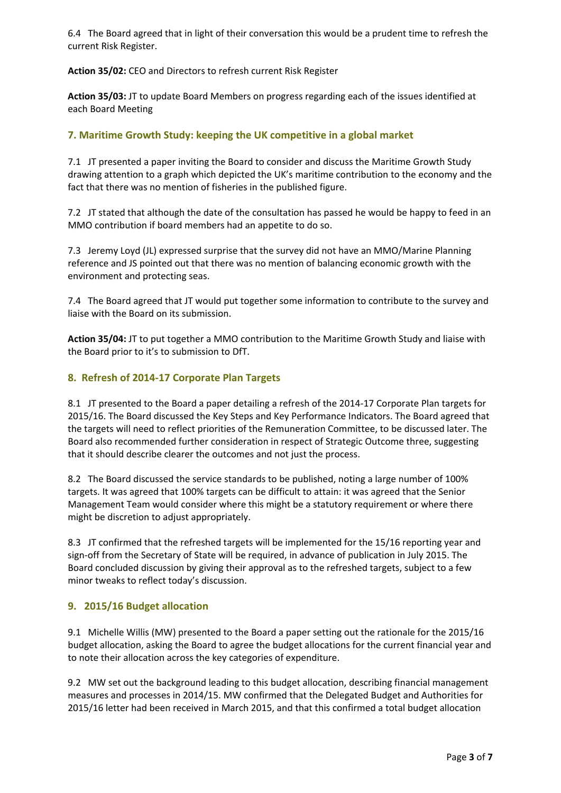6.4 The Board agreed that in light of their conversation this would be a prudent time to refresh the current Risk Register.

**Action 35/02:** CEO and Directors to refresh current Risk Register

**Action 35/03:** JT to update Board Members on progress regarding each of the issues identified at each Board Meeting

# **7. Maritime Growth Study: keeping the UK competitive in a global market**

7.1 JT presented a paper inviting the Board to consider and discuss the Maritime Growth Study drawing attention to a graph which depicted the UK's maritime contribution to the economy and the fact that there was no mention of fisheries in the published figure.

7.2 JT stated that although the date of the consultation has passed he would be happy to feed in an MMO contribution if board members had an appetite to do so.

7.3 Jeremy Loyd (JL) expressed surprise that the survey did not have an MMO/Marine Planning reference and JS pointed out that there was no mention of balancing economic growth with the environment and protecting seas.

7.4 The Board agreed that JT would put together some information to contribute to the survey and liaise with the Board on its submission.

**Action 35/04:** JT to put together a MMO contribution to the Maritime Growth Study and liaise with the Board prior to it's to submission to DfT.

## **8. Refresh of 2014‐17 Corporate Plan Targets**

8.1 JT presented to the Board a paper detailing a refresh of the 2014‐17 Corporate Plan targets for 2015/16. The Board discussed the Key Steps and Key Performance Indicators. The Board agreed that the targets will need to reflect priorities of the Remuneration Committee, to be discussed later. The Board also recommended further consideration in respect of Strategic Outcome three, suggesting that it should describe clearer the outcomes and not just the process.

8.2 The Board discussed the service standards to be published, noting a large number of 100% targets. It was agreed that 100% targets can be difficult to attain: it was agreed that the Senior Management Team would consider where this might be a statutory requirement or where there might be discretion to adjust appropriately.

8.3 JT confirmed that the refreshed targets will be implemented for the 15/16 reporting year and sign-off from the Secretary of State will be required, in advance of publication in July 2015. The Board concluded discussion by giving their approval as to the refreshed targets, subject to a few minor tweaks to reflect today's discussion.

# **9. 2015/16 Budget allocation**

9.1 Michelle Willis (MW) presented to the Board a paper setting out the rationale for the 2015/16 budget allocation, asking the Board to agree the budget allocations for the current financial year and to note their allocation across the key categories of expenditure.

9.2 MW set out the background leading to this budget allocation, describing financial management measures and processes in 2014/15. MW confirmed that the Delegated Budget and Authorities for 2015/16 letter had been received in March 2015, and that this confirmed a total budget allocation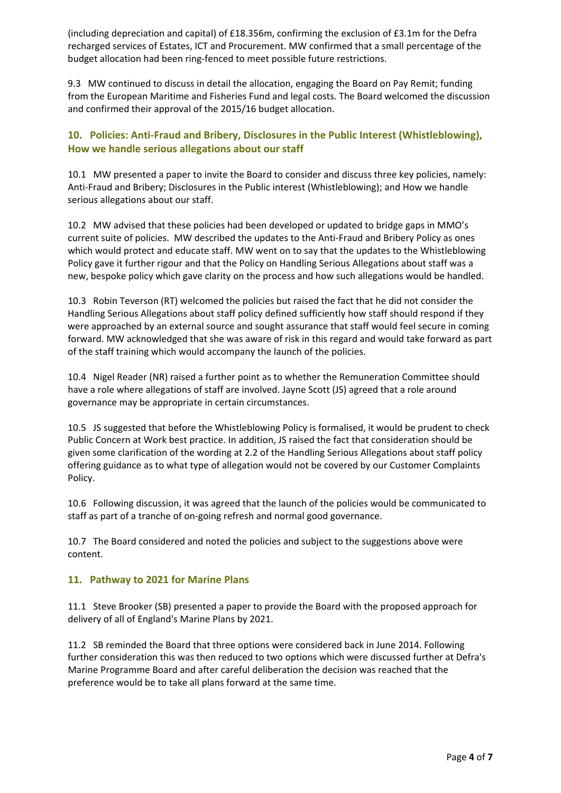(including depreciation and capital) of £18.356m, confirming the exclusion of £3.1m for the Defra recharged services of Estates, ICT and Procurement. MW confirmed that a small percentage of the budget allocation had been ring‐fenced to meet possible future restrictions.

9.3 MW continued to discuss in detail the allocation, engaging the Board on Pay Remit; funding from the European Maritime and Fisheries Fund and legal costs. The Board welcomed the discussion and confirmed their approval of the 2015/16 budget allocation.

# **10. Policies: Anti‐Fraud and Bribery, Disclosures in the Public Interest (Whistleblowing), How we handle serious allegations about our staff**

10.1 MW presented a paper to invite the Board to consider and discuss three key policies, namely: Anti-Fraud and Bribery; Disclosures in the Public interest (Whistleblowing); and How we handle serious allegations about our staff.

10.2 MW advised that these policies had been developed or updated to bridge gaps in MMO's current suite of policies. MW described the updates to the Anti‐Fraud and Bribery Policy as ones which would protect and educate staff. MW went on to say that the updates to the Whistleblowing Policy gave it further rigour and that the Policy on Handling Serious Allegations about staff was a new, bespoke policy which gave clarity on the process and how such allegations would be handled.

10.3 Robin Teverson (RT) welcomed the policies but raised the fact that he did not consider the Handling Serious Allegations about staff policy defined sufficiently how staff should respond if they were approached by an external source and sought assurance that staff would feel secure in coming forward. MW acknowledged that she was aware of risk in this regard and would take forward as part of the staff training which would accompany the launch of the policies.

10.4 Nigel Reader (NR) raised a further point as to whether the Remuneration Committee should have a role where allegations of staff are involved. Jayne Scott (JS) agreed that a role around governance may be appropriate in certain circumstances.

10.5 JS suggested that before the Whistleblowing Policy is formalised, it would be prudent to check Public Concern at Work best practice. In addition, JS raised the fact that consideration should be given some clarification of the wording at 2.2 of the Handling Serious Allegations about staff policy offering guidance as to what type of allegation would not be covered by our Customer Complaints Policy.

10.6 Following discussion, it was agreed that the launch of the policies would be communicated to staff as part of a tranche of on‐going refresh and normal good governance.

10.7 The Board considered and noted the policies and subject to the suggestions above were content.

# **11. Pathway to 2021 for Marine Plans**

11.1 Steve Brooker (SB) presented a paper to provide the Board with the proposed approach for delivery of all of England's Marine Plans by 2021.

11.2 SB reminded the Board that three options were considered back in June 2014. Following further consideration this was then reduced to two options which were discussed further at Defra's Marine Programme Board and after careful deliberation the decision was reached that the preference would be to take all plans forward at the same time.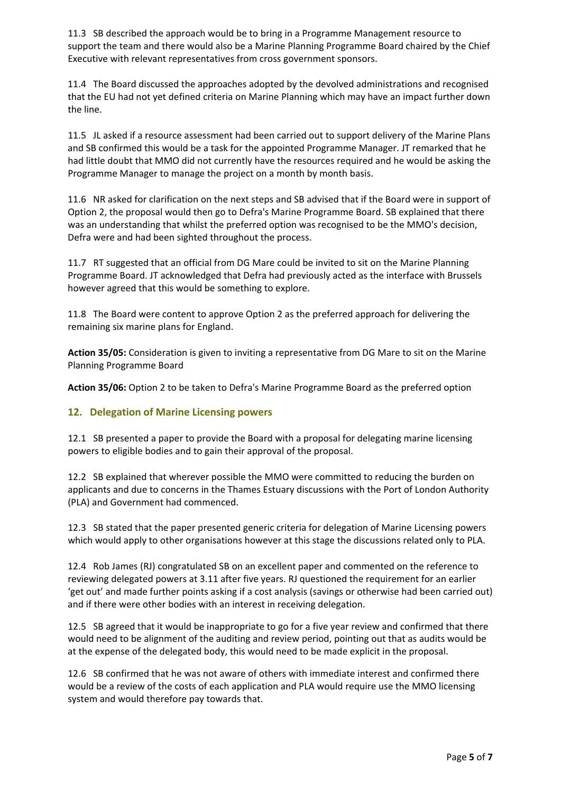11.3 SB described the approach would be to bring in a Programme Management resource to support the team and there would also be a Marine Planning Programme Board chaired by the Chief Executive with relevant representatives from cross government sponsors.

11.4 The Board discussed the approaches adopted by the devolved administrations and recognised that the EU had not yet defined criteria on Marine Planning which may have an impact further down the line.

11.5 JL asked if a resource assessment had been carried out to support delivery of the Marine Plans and SB confirmed this would be a task for the appointed Programme Manager. JT remarked that he had little doubt that MMO did not currently have the resources required and he would be asking the Programme Manager to manage the project on a month by month basis.

11.6 NR asked for clarification on the next steps and SB advised that if the Board were in support of Option 2, the proposal would then go to Defra's Marine Programme Board. SB explained that there was an understanding that whilst the preferred option was recognised to be the MMO's decision, Defra were and had been sighted throughout the process.

11.7 RT suggested that an official from DG Mare could be invited to sit on the Marine Planning Programme Board. JT acknowledged that Defra had previously acted as the interface with Brussels however agreed that this would be something to explore.

11.8 The Board were content to approve Option 2 as the preferred approach for delivering the remaining six marine plans for England.

**Action 35/05:** Consideration is given to inviting a representative from DG Mare to sit on the Marine Planning Programme Board

**Action 35/06:** Option 2 to be taken to Defra's Marine Programme Board as the preferred option

# **12. Delegation of Marine Licensing powers**

12.1 SB presented a paper to provide the Board with a proposal for delegating marine licensing powers to eligible bodies and to gain their approval of the proposal.

12.2 SB explained that wherever possible the MMO were committed to reducing the burden on applicants and due to concerns in the Thames Estuary discussions with the Port of London Authority (PLA) and Government had commenced.

12.3 SB stated that the paper presented generic criteria for delegation of Marine Licensing powers which would apply to other organisations however at this stage the discussions related only to PLA.

12.4 Rob James (RJ) congratulated SB on an excellent paper and commented on the reference to reviewing delegated powers at 3.11 after five years. RJ questioned the requirement for an earlier 'get out' and made further points asking if a cost analysis (savings or otherwise had been carried out) and if there were other bodies with an interest in receiving delegation.

12.5 SB agreed that it would be inappropriate to go for a five year review and confirmed that there would need to be alignment of the auditing and review period, pointing out that as audits would be at the expense of the delegated body, this would need to be made explicit in the proposal.

12.6 SB confirmed that he was not aware of others with immediate interest and confirmed there would be a review of the costs of each application and PLA would require use the MMO licensing system and would therefore pay towards that.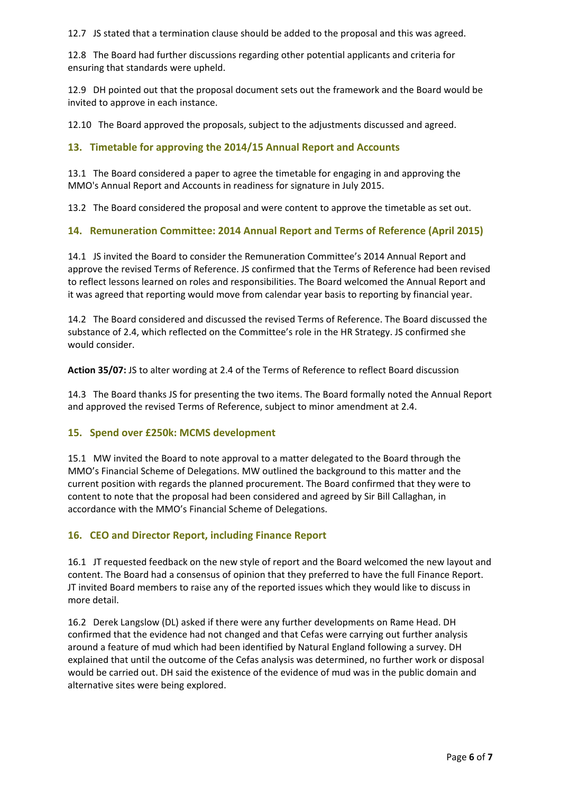12.7 JS stated that a termination clause should be added to the proposal and this was agreed.

12.8 The Board had further discussions regarding other potential applicants and criteria for ensuring that standards were upheld.

12.9 DH pointed out that the proposal document sets out the framework and the Board would be invited to approve in each instance.

12.10 The Board approved the proposals, subject to the adjustments discussed and agreed.

## **13. Timetable for approving the 2014/15 Annual Report and Accounts**

13.1 The Board considered a paper to agree the timetable for engaging in and approving the MMO's Annual Report and Accounts in readiness for signature in July 2015.

13.2 The Board considered the proposal and were content to approve the timetable as set out.

### **14. Remuneration Committee: 2014 Annual Report and Terms of Reference (April 2015)**

14.1 JS invited the Board to consider the Remuneration Committee's 2014 Annual Report and approve the revised Terms of Reference. JS confirmed that the Terms of Reference had been revised to reflect lessons learned on roles and responsibilities. The Board welcomed the Annual Report and it was agreed that reporting would move from calendar year basis to reporting by financial year.

14.2 The Board considered and discussed the revised Terms of Reference. The Board discussed the substance of 2.4, which reflected on the Committee's role in the HR Strategy. JS confirmed she would consider.

**Action 35/07:** JS to alter wording at 2.4 of the Terms of Reference to reflect Board discussion

14.3 The Board thanks JS for presenting the two items. The Board formally noted the Annual Report and approved the revised Terms of Reference, subject to minor amendment at 2.4.

### **15. Spend over £250k: MCMS development**

15.1 MW invited the Board to note approval to a matter delegated to the Board through the MMO's Financial Scheme of Delegations. MW outlined the background to this matter and the current position with regards the planned procurement. The Board confirmed that they were to content to note that the proposal had been considered and agreed by Sir Bill Callaghan, in accordance with the MMO's Financial Scheme of Delegations.

# **16. CEO and Director Report, including Finance Report**

16.1 JT requested feedback on the new style of report and the Board welcomed the new layout and content. The Board had a consensus of opinion that they preferred to have the full Finance Report. JT invited Board members to raise any of the reported issues which they would like to discuss in more detail.

16.2 Derek Langslow (DL) asked if there were any further developments on Rame Head. DH confirmed that the evidence had not changed and that Cefas were carrying out further analysis around a feature of mud which had been identified by Natural England following a survey. DH explained that until the outcome of the Cefas analysis was determined, no further work or disposal would be carried out. DH said the existence of the evidence of mud was in the public domain and alternative sites were being explored.